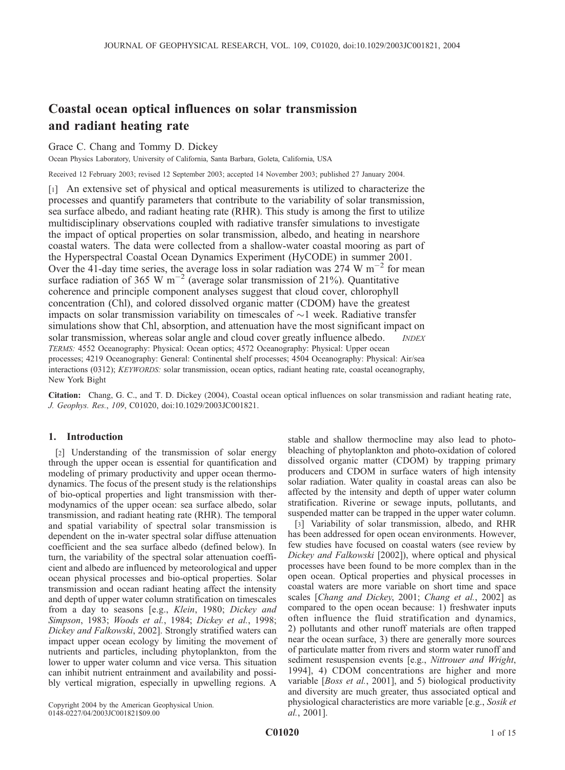# Coastal ocean optical influences on solar transmission and radiant heating rate

Grace C. Chang and Tommy D. Dickey

Ocean Physics Laboratory, University of California, Santa Barbara, Goleta, California, USA

Received 12 February 2003; revised 12 September 2003; accepted 14 November 2003; published 27 January 2004.

[1] An extensive set of physical and optical measurements is utilized to characterize the processes and quantify parameters that contribute to the variability of solar transmission, sea surface albedo, and radiant heating rate (RHR). This study is among the first to utilize multidisciplinary observations coupled with radiative transfer simulations to investigate the impact of optical properties on solar transmission, albedo, and heating in nearshore coastal waters. The data were collected from a shallow-water coastal mooring as part of the Hyperspectral Coastal Ocean Dynamics Experiment (HyCODE) in summer 2001. Over the 41-day time series, the average loss in solar radiation was 274 W  $\mathrm{m}^{-2}$  for mean surface radiation of 365 W  $m^{-2}$  (average solar transmission of 21%). Quantitative coherence and principle component analyses suggest that cloud cover, chlorophyll concentration (Chl), and colored dissolved organic matter (CDOM) have the greatest impacts on solar transmission variability on timescales of  $\sim$ 1 week. Radiative transfer simulations show that Chl, absorption, and attenuation have the most significant impact on solar transmission, whereas solar angle and cloud cover greatly influence albedo. *INDEX* TERMS: 4552 Oceanography: Physical: Ocean optics; 4572 Oceanography: Physical: Upper ocean processes; 4219 Oceanography: General: Continental shelf processes; 4504 Oceanography: Physical: Air/sea interactions (0312); KEYWORDS: solar transmission, ocean optics, radiant heating rate, coastal oceanography, New York Bight

Citation: Chang, G. C., and T. D. Dickey (2004), Coastal ocean optical influences on solar transmission and radiant heating rate, J. Geophys. Res., 109, C01020, doi:10.1029/2003JC001821.

# 1. Introduction

[2] Understanding of the transmission of solar energy through the upper ocean is essential for quantification and modeling of primary productivity and upper ocean thermodynamics. The focus of the present study is the relationships of bio-optical properties and light transmission with thermodynamics of the upper ocean: sea surface albedo, solar transmission, and radiant heating rate (RHR). The temporal and spatial variability of spectral solar transmission is dependent on the in-water spectral solar diffuse attenuation coefficient and the sea surface albedo (defined below). In turn, the variability of the spectral solar attenuation coefficient and albedo are influenced by meteorological and upper ocean physical processes and bio-optical properties. Solar transmission and ocean radiant heating affect the intensity and depth of upper water column stratification on timescales from a day to seasons [e.g., Klein, 1980; Dickey and Simpson, 1983; Woods et al., 1984; Dickey et al., 1998; Dickey and Falkowski, 2002]. Strongly stratified waters can impact upper ocean ecology by limiting the movement of nutrients and particles, including phytoplankton, from the lower to upper water column and vice versa. This situation can inhibit nutrient entrainment and availability and possibly vertical migration, especially in upwelling regions. A

Copyright 2004 by the American Geophysical Union. 0148-0227/04/2003JC001821\$09.00

stable and shallow thermocline may also lead to photobleaching of phytoplankton and photo-oxidation of colored dissolved organic matter (CDOM) by trapping primary producers and CDOM in surface waters of high intensity solar radiation. Water quality in coastal areas can also be affected by the intensity and depth of upper water column stratification. Riverine or sewage inputs, pollutants, and suspended matter can be trapped in the upper water column.

[3] Variability of solar transmission, albedo, and RHR has been addressed for open ocean environments. However, few studies have focused on coastal waters (see review by Dickey and Falkowski [2002]), where optical and physical processes have been found to be more complex than in the open ocean. Optical properties and physical processes in coastal waters are more variable on short time and space scales [Chang and Dickey, 2001; Chang et al., 2002] as compared to the open ocean because: 1) freshwater inputs often influence the fluid stratification and dynamics, 2) pollutants and other runoff materials are often trapped near the ocean surface, 3) there are generally more sources of particulate matter from rivers and storm water runoff and sediment resuspension events [e.g., Nittrouer and Wright, 1994], 4) CDOM concentrations are higher and more variable [*Boss et al.*, 2001], and 5) biological productivity and diversity are much greater, thus associated optical and physiological characteristics are more variable [e.g., Sosik et al., 2001].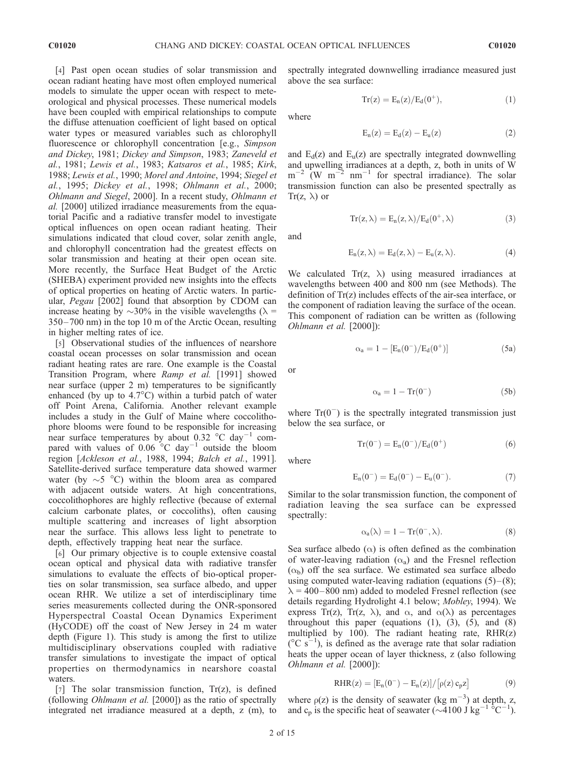[4] Past open ocean studies of solar transmission and ocean radiant heating have most often employed numerical models to simulate the upper ocean with respect to meteorological and physical processes. These numerical models have been coupled with empirical relationships to compute the diffuse attenuation coefficient of light based on optical water types or measured variables such as chlorophyll fluorescence or chlorophyll concentration [e.g., Simpson] and Dickey, 1981; Dickey and Simpson, 1983; Zaneveld et al., 1981; Lewis et al., 1983; Katsaros et al., 1985; Kirk, 1988; Lewis et al., 1990; Morel and Antoine, 1994; Siegel et al., 1995; Dickey et al., 1998; Ohlmann et al., 2000; Ohlmann and Siegel, 2000]. In a recent study, Ohlmann et al. [2000] utilized irradiance measurements from the equatorial Pacific and a radiative transfer model to investigate optical influences on open ocean radiant heating. Their simulations indicated that cloud cover, solar zenith angle, and chlorophyll concentration had the greatest effects on solar transmission and heating at their open ocean site. More recently, the Surface Heat Budget of the Arctic (SHEBA) experiment provided new insights into the effects of optical properties on heating of Arctic waters. In particular, Pegau [2002] found that absorption by CDOM can increase heating by  $\sim$ 30% in the visible wavelengths ( $\lambda$  = 350 –700 nm) in the top 10 m of the Arctic Ocean, resulting in higher melting rates of ice.

[5] Observational studies of the influences of nearshore coastal ocean processes on solar transmission and ocean radiant heating rates are rare. One example is the Coastal Transition Program, where Ramp et al. [1991] showed near surface (upper 2 m) temperatures to be significantly enhanced (by up to  $4.7^{\circ}$ C) within a turbid patch of water off Point Arena, California. Another relevant example includes a study in the Gulf of Maine where coccolithophore blooms were found to be responsible for increasing near surface temperatures by about 0.32  $^{\circ}$ C day<sup>-1</sup> compared with values of  $0.06\degree C$  day<sup>-1</sup> outside the bloom region [Ackleson et al., 1988, 1994; Balch et al., 1991]. Satellite-derived surface temperature data showed warmer water (by  $\sim$  5 °C) within the bloom area as compared with adjacent outside waters. At high concentrations, coccolithophores are highly reflective (because of external calcium carbonate plates, or coccoliths), often causing multiple scattering and increases of light absorption near the surface. This allows less light to penetrate to depth, effectively trapping heat near the surface.

[6] Our primary objective is to couple extensive coastal ocean optical and physical data with radiative transfer simulations to evaluate the effects of bio-optical properties on solar transmission, sea surface albedo, and upper ocean RHR. We utilize a set of interdisciplinary time series measurements collected during the ONR-sponsored Hyperspectral Coastal Ocean Dynamics Experiment (HyCODE) off the coast of New Jersey in 24 m water depth (Figure 1). This study is among the first to utilize multidisciplinary observations coupled with radiative transfer simulations to investigate the impact of optical properties on thermodynamics in nearshore coastal waters.

[7] The solar transmission function,  $Tr(z)$ , is defined (following Ohlmann et al. [2000]) as the ratio of spectrally integrated net irradiance measured at a depth, z (m), to spectrally integrated downwelling irradiance measured just above the sea surface:

$$
Tr(z) = E_n(z)/E_d(0^+),
$$
 (1)

where

$$
E_n(z) = E_d(z) - E_u(z) \tag{2}
$$

and  $E_d(z)$  and  $E_u(z)$  are spectrally integrated downwelling and upwelling irradiances at a depth, z, both in units of W  $m^{-2}$  (W m<sup>-2</sup> nm<sup>-1</sup> for spectral irradiance). The solar transmission function can also be presented spectrally as  $Tr(z, \lambda)$  or

and

$$
E_n(z,\lambda) = E_d(z,\lambda) - E_u(z,\lambda). \tag{4}
$$

 $Tr(z, \lambda) = E_n(z, \lambda) / E_d(0^+, \lambda)$  (3)

We calculated  $Tr(z, \lambda)$  using measured irradiances at wavelengths between 400 and 800 nm (see Methods). The definition of Tr(z) includes effects of the air-sea interface, or the component of radiation leaving the surface of the ocean. This component of radiation can be written as (following Ohlmann et al. [2000]):

$$
\alpha_a = 1 - [E_n(0^-)/E_d(0^+)] \tag{5a}
$$

or

$$
\alpha_a = 1 - \text{Tr}(0^-) \tag{5b}
$$

where  $Tr(0^-)$  is the spectrally integrated transmission just below the sea surface, or

$$
Tr(0^-) = E_n(0^-)/E_d(0^+) \qquad \qquad (6)
$$

where

$$
E_n(0^-) = E_d(0^-) - E_u(0^-). \qquad \qquad (7)
$$

Similar to the solar transmission function, the component of radiation leaving the sea surface can be expressed spectrally:

$$
\alpha_a(\lambda) = 1 - \text{Tr}(0^-, \lambda). \tag{8}
$$

Sea surface albedo  $(\alpha)$  is often defined as the combination of water-leaving radiation  $(\alpha_a)$  and the Fresnel reflection  $(\alpha_b)$  off the sea surface. We estimated sea surface albedo using computed water-leaving radiation (equations  $(5)$ – $(8)$ ;  $\lambda$  = 400–800 nm) added to modeled Fresnel reflection (see details regarding Hydrolight 4.1 below; Mobley, 1994). We express Tr(z), Tr(z,  $\lambda$ ), and  $\alpha$ , and  $\alpha(\lambda)$  as percentages throughout this paper (equations  $(1)$ ,  $(3)$ ,  $(5)$ , and  $(8)$ multiplied by 100). The radiant heating rate,  $RHR(z)$  $({}^{\circ}C~s^{-1})$ , is defined as the average rate that solar radiation heats the upper ocean of layer thickness, z (also following Ohlmann et al. [2000]):

$$
RHR(z) = [E_n(0^-) - E_n(z)] / [\rho(z) c_p z]
$$
 (9)

where  $\rho(z)$  is the density of seawater (kg m<sup>-3</sup>) at depth, z, and c<sub>p</sub> is the specific heat of seawater ( $\sim$ 4100 J kg<sup>-1</sup><sup>6</sup>C<sup>-1</sup>).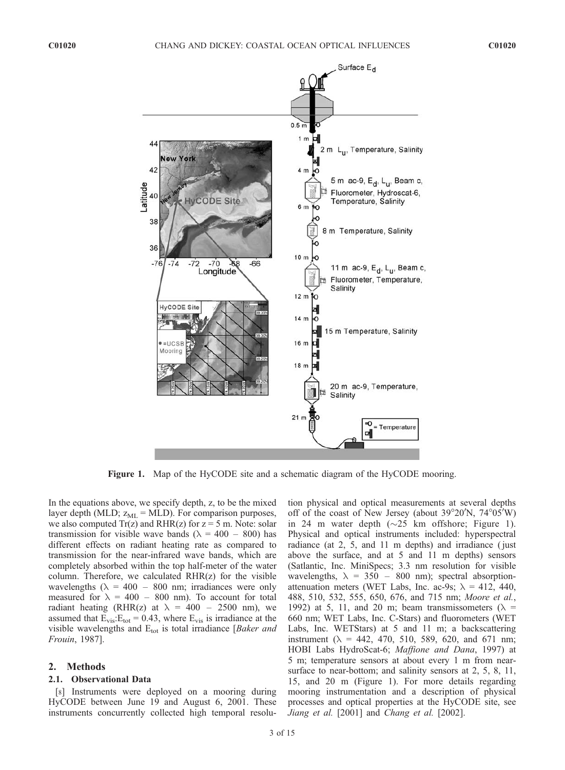

Figure 1. Map of the HyCODE site and a schematic diagram of the HyCODE mooring.

In the equations above, we specify depth, z, to be the mixed layer depth (MLD;  $z_{ML} = \text{MLD}$ ). For comparison purposes, we also computed  $Tr(z)$  and  $RHR(z)$  for  $z = 5$  m. Note: solar transmission for visible wave bands ( $\lambda = 400 - 800$ ) has different effects on radiant heating rate as compared to transmission for the near-infrared wave bands, which are completely absorbed within the top half-meter of the water column. Therefore, we calculated RHR(z) for the visible wavelengths ( $\lambda = 400 - 800$  nm; irradiances were only measured for  $\lambda = 400 - 800$  nm). To account for total radiant heating (RHR(z) at  $\lambda = 400 - 2500$  nm), we assumed that  $E_{vis}$ : $E_{tot}$  = 0.43, where  $E_{vis}$  is irradiance at the visible wavelengths and  $E_{tot}$  is total irradiance [*Baker and* Frouin, 1987].

## 2. Methods

#### 2.1. Observational Data

[8] Instruments were deployed on a mooring during HyCODE between June 19 and August 6, 2001. These instruments concurrently collected high temporal resolu-

tion physical and optical measurements at several depths off of the coast of New Jersey (about 39°20'N, 74°05'W) in 24 m water depth  $(\sim 25$  km offshore; Figure 1). Physical and optical instruments included: hyperspectral radiance (at 2, 5, and 11 m depths) and irradiance ( just above the surface, and at 5 and 11 m depths) sensors (Satlantic, Inc. MiniSpecs; 3.3 nm resolution for visible wavelengths,  $\lambda = 350 - 800$  nm); spectral absorptionattenuation meters (WET Labs, Inc. ac-9s;  $\lambda = 412, 440,$ 488, 510, 532, 555, 650, 676, and 715 nm; Moore et al., 1992) at 5, 11, and 20 m; beam transmissometers ( $\lambda$  = 660 nm; WET Labs, Inc. C-Stars) and fluorometers (WET Labs, Inc. WETStars) at 5 and 11 m; a backscattering instrument ( $\lambda = 442, 470, 510, 589, 620,$  and 671 nm; HOBI Labs HydroScat-6; Maffione and Dana, 1997) at 5 m; temperature sensors at about every 1 m from nearsurface to near-bottom; and salinity sensors at 2, 5, 8, 11, 15, and 20 m (Figure 1). For more details regarding mooring instrumentation and a description of physical processes and optical properties at the HyCODE site, see Jiang et al. [2001] and Chang et al. [2002].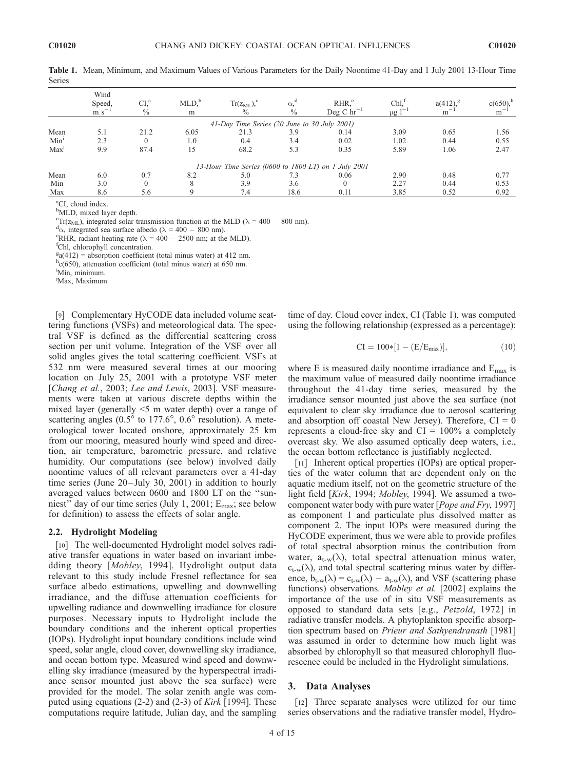|                  | Wind<br>Speed,<br>$m s$ <sup>-</sup> | CI.ª<br>$\frac{0}{0}$ | MLD <sub>o</sub><br>m | $Tr(z_{ML})$ <sup>c</sup><br>$\frac{0}{0}$   | $\alpha^d$<br>$\frac{0}{0}$ | RHR <sup>e</sup><br>Deg C $hr^{-1}$                  | Chl <sub>1</sub> <sup>1</sup><br>$1 - 1$<br>$\mu$ g 1 | $a(412)^g$<br>m | $c(650)$ <sup>h</sup><br>$m$ <sup>-</sup> |
|------------------|--------------------------------------|-----------------------|-----------------------|----------------------------------------------|-----------------------------|------------------------------------------------------|-------------------------------------------------------|-----------------|-------------------------------------------|
|                  |                                      |                       |                       | 41-Day Time Series (20 June to 30 July 2001) |                             |                                                      |                                                       |                 |                                           |
| Mean             | 5.1                                  | 21.2                  | 6.05                  | 21.3                                         | 3.9                         | 0.14                                                 | 3.09                                                  | 0.65            | 1.56                                      |
| Min <sup>1</sup> | 2.3                                  |                       | 1.0                   | 0.4                                          | 3.4                         | 0.02                                                 | 1.02                                                  | 0.44            | 0.55                                      |
| Max <sup>J</sup> | 9.9                                  | 87.4                  | 15                    | 68.2                                         | 5.3                         | 0.35                                                 | 5.89                                                  | 1.06            | 2.47                                      |
|                  |                                      |                       |                       |                                              |                             | 13-Hour Time Series (0600 to 1800 LT) on 1 July 2001 |                                                       |                 |                                           |
| Mean             | 6.0                                  | 0.7                   | 8.2                   | 5.0                                          | 7.3                         | 0.06                                                 | 2.90                                                  | 0.48            | 0.77                                      |
| Min              | 3.0                                  |                       |                       | 3.9                                          | 3.6                         | $\Omega$                                             | 2.27                                                  | 0.44            | 0.53                                      |
| Max              | 8.6                                  | 5.6                   |                       | 7.4                                          | 18.6                        | 0.11                                                 | 3.85                                                  | 0.52            | 0.92                                      |

Table 1. Mean, Minimum, and Maximum Values of Various Parameters for the Daily Noontime 41-Day and 1 July 2001 13-Hour Time Series

<sup>a</sup>CI, cloud index.

<sup>b</sup>MLD, mixed layer depth.

<sup>c</sup>Tr(z<sub>ML</sub>), integrated solar transmission function at the MLD ( $\lambda$  = 400 – 800 nm).

 $\alpha_{\alpha}$ , integrated sea surface albedo ( $\lambda = 400 - 800$  nm).

<sup>e</sup>RHR, radiant heating rate ( $\lambda = 400 - 2500$  nm; at the MLD).

Chl, chlorophyll concentration.

 $g_a(412)$  = absorption coefficient (total minus water) at 412 nm.

 $hc(650)$ , attenuation coefficient (total minus water) at 650 nm.

i Min, minimum.

j Max, Maximum.

[9] Complementary HyCODE data included volume scattering functions (VSFs) and meteorological data. The spectral VSF is defined as the differential scattering cross section per unit volume. Integration of the VSF over all solid angles gives the total scattering coefficient. VSFs at 532 nm were measured several times at our mooring location on July 25, 2001 with a prototype VSF meter [Chang et al., 2003; Lee and Lewis, 2003]. VSF measurements were taken at various discrete depths within the mixed layer (generally <5 m water depth) over a range of scattering angles  $(0.5^{\circ}$  to 177.6°,  $0.6^{\circ}$  resolution). A meteorological tower located onshore, approximately 25 km from our mooring, measured hourly wind speed and direction, air temperature, barometric pressure, and relative humidity. Our computations (see below) involved daily noontime values of all relevant parameters over a 41-day time series (June 20–July 30, 2001) in addition to hourly averaged values between 0600 and 1800 LT on the ''sunniest" day of our time series (July 1, 2001; E<sub>max</sub>; see below for definition) to assess the effects of solar angle.

## 2.2. Hydrolight Modeling

[10] The well-documented Hydrolight model solves radiative transfer equations in water based on invariant imbedding theory [Mobley, 1994]. Hydrolight output data relevant to this study include Fresnel reflectance for sea surface albedo estimations, upwelling and downwelling irradiance, and the diffuse attenuation coefficients for upwelling radiance and downwelling irradiance for closure purposes. Necessary inputs to Hydrolight include the boundary conditions and the inherent optical properties (IOPs). Hydrolight input boundary conditions include wind speed, solar angle, cloud cover, downwelling sky irradiance, and ocean bottom type. Measured wind speed and downwelling sky irradiance (measured by the hyperspectral irradiance sensor mounted just above the sea surface) were provided for the model. The solar zenith angle was computed using equations (2-2) and (2-3) of Kirk [1994]. These computations require latitude, Julian day, and the sampling

time of day. Cloud cover index, CI (Table 1), was computed using the following relationship (expressed as a percentage):

$$
CI = 100*[1 - (E/E_{max})],
$$
 (10)

where E is measured daily noontime irradiance and  $E_{\text{max}}$  is the maximum value of measured daily noontime irradiance throughout the 41-day time series, measured by the irradiance sensor mounted just above the sea surface (not equivalent to clear sky irradiance due to aerosol scattering and absorption off coastal New Jersey). Therefore,  $CI = 0$ represents a cloud-free sky and  $CI = 100\%$  a completely overcast sky. We also assumed optically deep waters, i.e., the ocean bottom reflectance is justifiably neglected.

[11] Inherent optical properties (IOPs) are optical properties of the water column that are dependent only on the aquatic medium itself, not on the geometric structure of the light field [Kirk, 1994; Mobley, 1994]. We assumed a twocomponent water body with pure water [Pope and Fry, 1997] as component 1 and particulate plus dissolved matter as component 2. The input IOPs were measured during the HyCODE experiment, thus we were able to provide profiles of total spectral absorption minus the contribution from water,  $a_{t-w}(\lambda)$ , total spectral attenuation minus water,  $c_{t-w}(\lambda)$ , and total spectral scattering minus water by difference,  $b_{t-w}(\lambda) = c_{t-w}(\lambda) - a_{t-w}(\lambda)$ , and VSF (scattering phase functions) observations. Mobley et al. [2002] explains the importance of the use of in situ VSF measurements as opposed to standard data sets [e.g., Petzold, 1972] in radiative transfer models. A phytoplankton specific absorption spectrum based on Prieur and Sathyendranath [1981] was assumed in order to determine how much light was absorbed by chlorophyll so that measured chlorophyll fluorescence could be included in the Hydrolight simulations.

## 3. Data Analyses

[12] Three separate analyses were utilized for our time series observations and the radiative transfer model, Hydro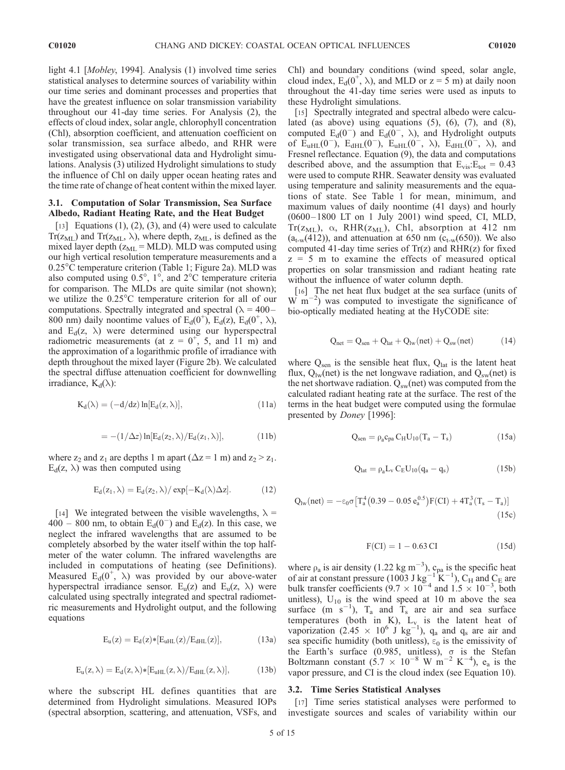light 4.1 [Mobley, 1994]. Analysis (1) involved time series statistical analyses to determine sources of variability within our time series and dominant processes and properties that have the greatest influence on solar transmission variability throughout our 41-day time series. For Analysis (2), the effects of cloud index, solar angle, chlorophyll concentration (Chl), absorption coefficient, and attenuation coefficient on solar transmission, sea surface albedo, and RHR were investigated using observational data and Hydrolight simulations. Analysis (3) utilized Hydrolight simulations to study the influence of Chl on daily upper ocean heating rates and the time rate of change of heat content within the mixed layer.

# 3.1. Computation of Solar Transmission, Sea Surface Albedo, Radiant Heating Rate, and the Heat Budget

[13] Equations  $(1)$ ,  $(2)$ ,  $(3)$ , and  $(4)$  were used to calculate  $Tr(z_{ML})$  and  $Tr(z_{ML}, \lambda)$ , where depth,  $z_{ML}$ , is defined as the mixed layer depth  $(z<sub>ML</sub> = MLD)$ . MLD was computed using our high vertical resolution temperature measurements and a 0.25<sup>°</sup>C temperature criterion (Table 1; Figure 2a). MLD was also computed using  $0.5^{\circ}$ ,  $1^{\circ}$ , and  $2^{\circ}$ C temperature criteria for comparison. The MLDs are quite similar (not shown); we utilize the 0.25<sup>°</sup>C temperature criterion for all of our computations. Spectrally integrated and spectral ( $\lambda = 400 -$ 800 nm) daily noontime values of  $E_d(0^+), E_d(z), E_d(0^+, \lambda),$ and  $E_d(z, \lambda)$  were determined using our hyperspectral radiometric measurements (at  $z = 0^+$ , 5, and 11 m) and the approximation of a logarithmic profile of irradiance with depth throughout the mixed layer (Figure 2b). We calculated the spectral diffuse attenuation coefficient for downwelling irradiance,  $K_d(\lambda)$ :

$$
K_d(\lambda) = (-d/dz) \ln[E_d(z, \lambda)], \qquad (11a)
$$

$$
= -(1/\Delta z) \ln[E_d(z_2, \lambda)/E_d(z_1, \lambda)], \qquad (11b)
$$

where  $z_2$  and  $z_1$  are depths 1 m apart ( $\Delta z = 1$  m) and  $z_2 > z_1$ .  $E_d(z, \lambda)$  was then computed using

$$
E_d(z_1,\lambda)=E_d(z_2,\lambda)/\exp[-K_d(\lambda)\Delta z]. \hspace{1.5cm} (12)
$$

[14] We integrated between the visible wavelengths,  $\lambda$  =  $400 - 800$  nm, to obtain  $E_d(0^-)$  and  $E_d(z)$ . In this case, we neglect the infrared wavelengths that are assumed to be completely absorbed by the water itself within the top halfmeter of the water column. The infrared wavelengths are included in computations of heating (see Definitions). Measured  $E_d(0^+, \lambda)$  was provided by our above-water hyperspectral irradiance sensor.  $E_{u}(z)$  and  $E_{u}(z, \lambda)$  were calculated using spectrally integrated and spectral radiometric measurements and Hydrolight output, and the following equations

$$
E_u(z) = E_d(z) * [E_{uHL}(z)/E_{dHL}(z)], \qquad \qquad (13a)
$$

$$
E_u(z,\lambda)=E_d(z,\lambda) * [E_{uHL}(z,\lambda)/E_{dHL}(z,\lambda)], \qquad \quad \ (13b)
$$

where the subscript HL defines quantities that are determined from Hydrolight simulations. Measured IOPs (spectral absorption, scattering, and attenuation, VSFs, and Chl) and boundary conditions (wind speed, solar angle, cloud index,  $E_d(0^+, \lambda)$ , and MLD or  $z = 5$  m) at daily noon throughout the 41-day time series were used as inputs to these Hydrolight simulations.

[15] Spectrally integrated and spectral albedo were calculated (as above) using equations  $(5)$ ,  $(6)$ ,  $(7)$ , and  $(8)$ , computed  $E_d(0^-)$  and  $E_d(0^-, \lambda)$ , and Hydrolight outputs of  $E_{uHL}(0^-)$ ,  $E_{dHL}(0^-)$ ,  $E_{uHL}(0^-$ ,  $\lambda$ ),  $E_{dHL}(0^-$ ,  $\lambda$ ), and Fresnel reflectance. Equation (9), the data and computations described above, and the assumption that  $E_{vis}$ : $E_{tot} = 0.43$ were used to compute RHR. Seawater density was evaluated using temperature and salinity measurements and the equations of state. See Table 1 for mean, minimum, and maximum values of daily noontime (41 days) and hourly (0600– 1800 LT on 1 July 2001) wind speed, CI, MLD,  $Tr(z_{ML})$ ,  $\alpha$ , RHR( $z_{ML}$ ), Chl, absorption at 412 nm  $(a<sub>t-w</sub>(412))$ , and attenuation at 650 nm  $(c<sub>t-w</sub>(650))$ . We also computed 41-day time series of  $Tr(z)$  and  $RHR(z)$  for fixed  $z = 5$  m to examine the effects of measured optical properties on solar transmission and radiant heating rate without the influence of water column depth.

[16] The net heat flux budget at the sea surface (units of  $\overline{W}$  m<sup>-2</sup>) was computed to investigate the significance of bio-optically mediated heating at the HyCODE site:

$$
Q_{net} = Q_{sen} + Q_{lat} + Q_{lw}(net) + Q_{sw}(net) \qquad (14)
$$

where  $Q_{\rm sen}$  is the sensible heat flux,  $Q_{\rm lat}$  is the latent heat flux,  $Q_{\text{lw}}(\text{net})$  is the net longwave radiation, and  $Q_{\text{sw}}(\text{net})$  is the net shortwave radiation.  $Q_{sw}$ (net) was computed from the calculated radiant heating rate at the surface. The rest of the terms in the heat budget were computed using the formulae presented by *Doney* [1996]:

$$
Q_{sen} = \rho_a c_{pa} C_H U_{10} (T_a - T_s) \tag{15a}
$$

$$
Q_{lat} = \rho_a L_v C_E U_{10} (q_a - q_s)
$$
 (15b)

$$
Q_{lw}(net) = -\epsilon_0 \sigma \big[ T_a^4 \big( 0.39 - 0.05 \, e_a^{0.5} \big) F(Cl) + 4 T_a^3 (T_s - T_a) ] \eqno{(15c)}
$$

$$
F(Cl) = 1 - 0.63 CI
$$
 (15d)

where  $\rho_a$  is air density (1.22 kg m<sup>-3</sup>),  $c_{pa}$  is the specific heat of air at constant pressure (1003 J kg<sup>-1</sup> K<sup>-1</sup>), C<sub>H</sub> and C<sub>E</sub> are bulk transfer coefficients  $(9.7 \times 10^{-4}$  and  $1.5 \times 10^{-3}$ , both unitless),  $U_{10}$  is the wind speed at 10 m above the sea surface  $(m \space s^{-1})$ ,  $T_a$  and  $T_s$  are air and sea surface temperatures (both in  $K$ ),  $L_v$  is the latent heat of vaporization (2.45  $\times$  10<sup>6</sup> J kg<sup>-1</sup>), q<sub>a</sub> and q<sub>s</sub> are air and sea specific humidity (both unitless),  $\varepsilon_0$  is the emissivity of the Earth's surface  $(0.985, \text{ unitless})$ ,  $\sigma$  is the Stefan Boltzmann constant  $(5.7 \times 10^{-8} \text{ W m}^{-2} \text{ K}^{-4})$ , e<sub>a</sub> is the vapor pressure, and CI is the cloud index (see Equation 10).

#### 3.2. Time Series Statistical Analyses

[17] Time series statistical analyses were performed to investigate sources and scales of variability within our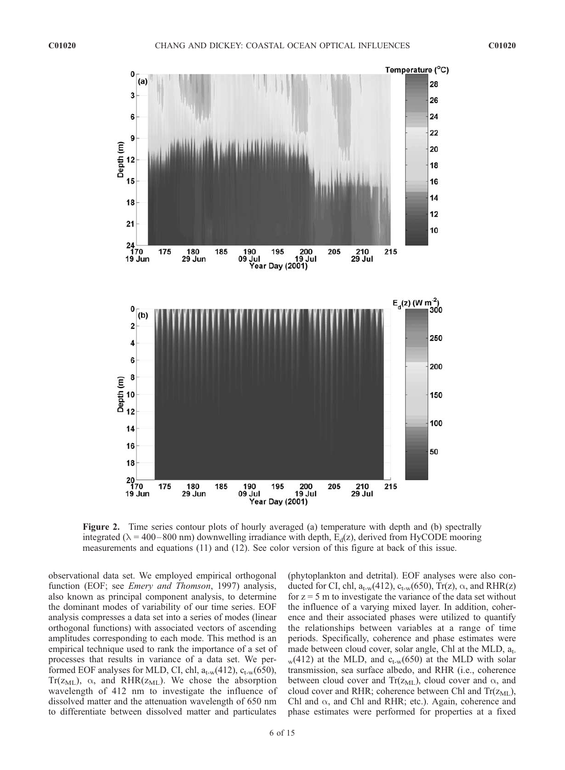

Figure 2. Time series contour plots of hourly averaged (a) temperature with depth and (b) spectrally integrated ( $\lambda$  = 400–800 nm) downwelling irradiance with depth,  $E_d(z)$ , derived from HyCODE mooring measurements and equations (11) and (12). See color version of this figure at back of this issue.

observational data set. We employed empirical orthogonal function (EOF; see *Emery and Thomson*, 1997) analysis, also known as principal component analysis, to determine the dominant modes of variability of our time series. EOF analysis compresses a data set into a series of modes (linear orthogonal functions) with associated vectors of ascending amplitudes corresponding to each mode. This method is an empirical technique used to rank the importance of a set of processes that results in variance of a data set. We performed EOF analyses for MLD, CI, chl,  $a_{t-w}(412)$ ,  $c_{t-w}(650)$ , Tr( $z_{ML}$ ),  $\alpha$ , and RHR( $z_{ML}$ ). We chose the absorption wavelength of 412 nm to investigate the influence of dissolved matter and the attenuation wavelength of 650 nm to differentiate between dissolved matter and particulates

(phytoplankton and detrital). EOF analyses were also conducted for CI, chl,  $a_{t-w}(412)$ ,  $c_{t-w}(650)$ , Tr(z),  $\alpha$ , and RHR(z) for  $z = 5$  m to investigate the variance of the data set without the influence of a varying mixed layer. In addition, coherence and their associated phases were utilized to quantify the relationships between variables at a range of time periods. Specifically, coherence and phase estimates were made between cloud cover, solar angle, Chl at the MLD,  $a_{t-}$  $_{\rm w}$ (412) at the MLD, and c<sub>t-w</sub>(650) at the MLD with solar transmission, sea surface albedo, and RHR (i.e., coherence between cloud cover and Tr( $z_{ML}$ ), cloud cover and  $\alpha$ , and cloud cover and RHR; coherence between Chl and  $Tr(z_{ML})$ , Chl and  $\alpha$ , and Chl and RHR; etc.). Again, coherence and phase estimates were performed for properties at a fixed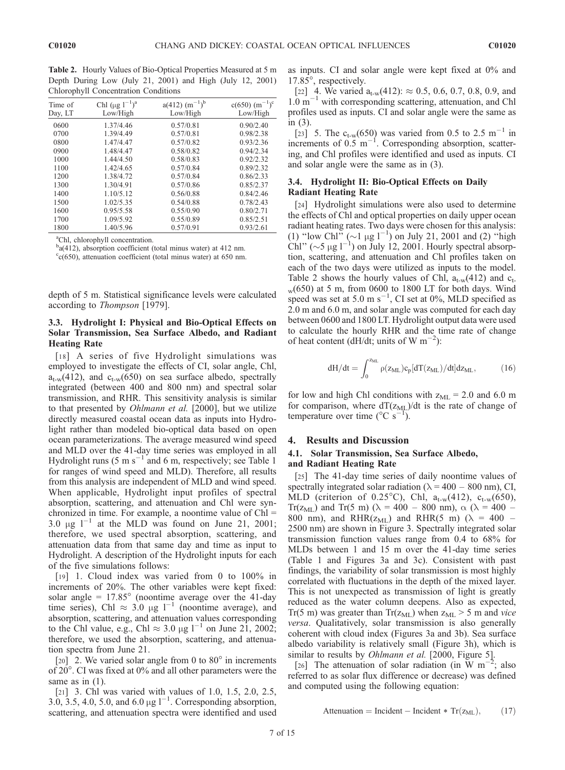Table 2. Hourly Values of Bio-Optical Properties Measured at 5 m Depth During Low (July 21, 2001) and High (July 12, 2001) Chlorophyll Concentration Conditions

| Time of<br>Day, LT | Chl (μg $1^{-1}$ ) <sup>a</sup><br>Low/High | $a(412)$ $(m^{-1})^b$<br>Low/High | $c(650)$ $(m^{-1})^c$<br>Low/High |
|--------------------|---------------------------------------------|-----------------------------------|-----------------------------------|
| 0600               | 1.37/4.46                                   | 0.57/0.81                         | 0.90/2.40                         |
| 0700               | 1.39/4.49                                   | 0.57/0.81                         | 0.98/2.38                         |
| 0800               | 1.47/4.47                                   | 0.57/0.82                         | 0.93/2.36                         |
| 0900               | 1.48/4.47                                   | 0.58/0.82                         | 0.94/2.34                         |
| 1000               | 1.44/4.50                                   | 0.58/0.83                         | 0.92/2.32                         |
| 1100               | 1.42/4.65                                   | 0.57/0.84                         | 0.89/2.32                         |
| 1200               | 1.38/4.72                                   | 0.57/0.84                         | 0.86/2.33                         |
| 1300               | 1.30/4.91                                   | 0.57/0.86                         | 0.85/2.37                         |
| 1400               | 1.10/5.12                                   | 0.56/0.88                         | 0.84/2.46                         |
| 1500               | 1.02/5.35                                   | 0.54/0.88                         | 0.78/2.43                         |
| 1600               | 0.95/5.58                                   | 0.55/0.90                         | 0.80/2.71                         |
| 1700               | 1.09/5.92                                   | 0.55/0.89                         | 0.85/2.51                         |
| 1800               | 1.40/5.96                                   | 0.57/0.91                         | 0.93/2.61                         |
|                    |                                             |                                   |                                   |

a Chl, chlorophyll concentration.

b<sub>a</sub>(412), absorption coefficient (total minus water) at 412 nm.

 $c$ <sub>c</sub>(650), attenuation coefficient (total minus water) at 650 nm.

depth of 5 m. Statistical significance levels were calculated according to Thompson [1979].

# 3.3. Hydrolight I: Physical and Bio-Optical Effects on Solar Transmission, Sea Surface Albedo, and Radiant Heating Rate

[18] A series of five Hydrolight simulations was employed to investigate the effects of CI, solar angle, Chl,  $a_{t-w}(412)$ , and  $c_{t-w}(650)$  on sea surface albedo, spectrally integrated (between 400 and 800 nm) and spectral solar transmission, and RHR. This sensitivity analysis is similar to that presented by *Ohlmann et al.* [2000], but we utilize directly measured coastal ocean data as inputs into Hydrolight rather than modeled bio-optical data based on open ocean parameterizations. The average measured wind speed and MLD over the 41-day time series was employed in all Hydrolight runs (5 m s<sup>-1</sup> and 6 m, respectively; see Table 1 for ranges of wind speed and MLD). Therefore, all results from this analysis are independent of MLD and wind speed. When applicable, Hydrolight input profiles of spectral absorption, scattering, and attenuation and Chl were synchronized in time. For example, a noontime value of  $ChI =$  $3.0 \text{ µg}$   $1^{-1}$  at the MLD was found on June 21, 2001; therefore, we used spectral absorption, scattering, and attenuation data from that same day and time as input to Hydrolight. A description of the Hydrolight inputs for each of the five simulations follows:

[19] 1. Cloud index was varied from 0 to 100% in increments of 20%. The other variables were kept fixed: solar angle =  $17.85^{\circ}$  (noontime average over the 41-day time series), Chl  $\approx$  3.0 µg l<sup>-1</sup> (noontime average), and absorption, scattering, and attenuation values corresponding to the Chl value, e.g., Chl  $\approx 3.0 \mu g l^{-1}$  on June 21, 2002; therefore, we used the absorption, scattering, and attenuation spectra from June 21.

[20] 2. We varied solar angle from 0 to  $80^\circ$  in increments of 20°. CI was fixed at 0% and all other parameters were the same as in  $(1)$ .

[21] 3. Chl was varied with values of 1.0, 1.5, 2.0, 2.5, 3.0, 3.5, 4.0, 5.0, and 6.0  $\mu$ g l<sup>-1</sup>. Corresponding absorption, scattering, and attenuation spectra were identified and used as inputs. CI and solar angle were kept fixed at 0% and 17.85°, respectively.

[22] 4. We varied  $a_{t-w}(412)$ :  $\approx 0.5, 0.6, 0.7, 0.8, 0.9,$  and  $1.0 \text{ m}^{-1}$  with corresponding scattering, attenuation, and Chl profiles used as inputs. CI and solar angle were the same as in (3).

[23] 5. The  $c_{t-w}(650)$  was varied from 0.5 to 2.5 m<sup>-1</sup> in increments of  $0.5~{\rm m}^{-1}$ . Corresponding absorption, scattering, and Chl profiles were identified and used as inputs. CI and solar angle were the same as in (3).

# 3.4. Hydrolight II: Bio-Optical Effects on Daily Radiant Heating Rate

[24] Hydrolight simulations were also used to determine the effects of Chl and optical properties on daily upper ocean radiant heating rates. Two days were chosen for this analysis: (1) "low Chl" ( $\sim$ 1 µg l<sup>-1</sup>) on July 21, 2001 and (2) "high Chl" ( $\sim$ 5 µg l<sup>-1</sup>) on July 12, 2001. Hourly spectral absorption, scattering, and attenuation and Chl profiles taken on each of the two days were utilized as inputs to the model. Table 2 shows the hourly values of Chl,  $a_{t-w}(412)$  and  $c_{t-}$  $_{\rm w}$ (650) at 5 m, from 0600 to 1800 LT for both days. Wind speed was set at 5.0 m s<sup>-1</sup>, CI set at 0%, MLD specified as 2.0 m and 6.0 m, and solar angle was computed for each day between 0600 and 1800 LT. Hydrolight output data were used to calculate the hourly RHR and the time rate of change of heat content (dH/dt; units of W m<sup>-2</sup>):

$$
dH/dt = \int_0^{z_{ML}} \rho(z_{ML}) c_p[dT(z_{ML})/dt] dz_{ML}, \qquad (16)
$$

for low and high Chl conditions with  $z_{ML} = 2.0$  and 6.0 m for comparison, where  $dT(z_{ML})/dt$  is the rate of change of temperature over time ( $\rm{^{\circ}C}$  s<sup>-1</sup>).

## 4. Results and Discussion

## 4.1. Solar Transmission, Sea Surface Albedo, and Radiant Heating Rate

[25] The 41-day time series of daily noontime values of spectrally integrated solar radiation ( $\lambda = 400 - 800$  nm), CI, MLD (criterion of 0.25°C), Chl,  $a_{t-w}(412)$ ,  $c_{t-w}(650)$ , Tr( $z_{ML}$ ) and Tr(5 m) ( $\lambda$  = 400 – 800 nm),  $\alpha$  ( $\lambda$  = 400 – 800 nm), and RHR( $z_{ML}$ ) and RHR(5 m) ( $\lambda = 400$  – 2500 nm) are shown in Figure 3. Spectrally integrated solar transmission function values range from 0.4 to 68% for MLDs between 1 and 15 m over the 41-day time series (Table 1 and Figures 3a and 3c). Consistent with past findings, the variability of solar transmission is most highly correlated with fluctuations in the depth of the mixed layer. This is not unexpected as transmission of light is greatly reduced as the water column deepens. Also as expected, Tr(5 m) was greater than Tr( $z_{ML}$ ) when  $z_{ML} > 5$  m and vice versa. Qualitatively, solar transmission is also generally coherent with cloud index (Figures 3a and 3b). Sea surface albedo variability is relatively small (Figure 3h), which is similar to results by *Ohlmann et al.* [2000, Figure 5].

[26] The attenuation of solar radiation (in W m<sup>-2</sup> ; also referred to as solar flux difference or decrease) was defined and computed using the following equation:

$$
Attention = Incident - Incident * Tr(z_{ML}), \t(17)
$$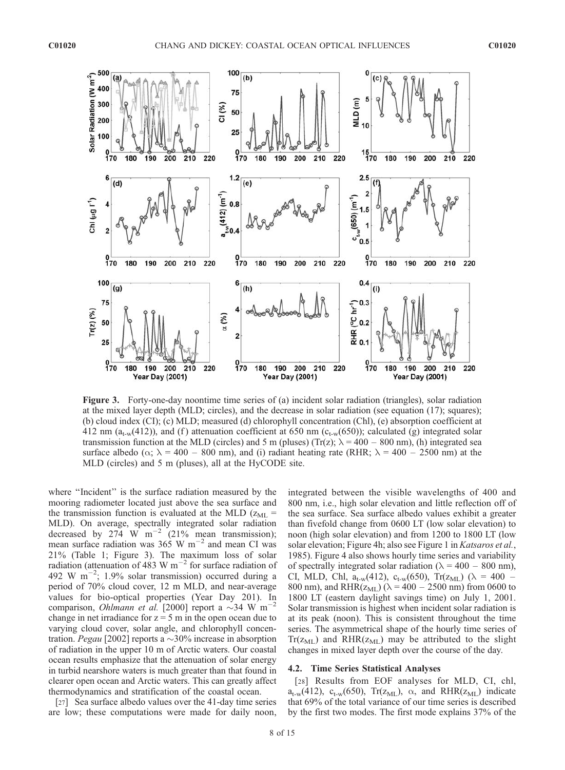

Figure 3. Forty-one-day noontime time series of (a) incident solar radiation (triangles), solar radiation at the mixed layer depth (MLD; circles), and the decrease in solar radiation (see equation (17); squares); (b) cloud index (CI); (c) MLD; measured (d) chlorophyll concentration (Chl), (e) absorption coefficient at 412 nm ( $a_{t-w}(412)$ ), and (f) attenuation coefficient at 650 nm ( $c_{t-w}(650)$ ); calculated (g) integrated solar transmission function at the MLD (circles) and 5 m (pluses) (Tr(z);  $\lambda = 400 - 800$  nm), (h) integrated sea surface albedo ( $\alpha$ ;  $\lambda$  = 400 – 800 nm), and (i) radiant heating rate (RHR;  $\lambda$  = 400 – 2500 nm) at the MLD (circles) and 5 m (pluses), all at the HyCODE site.

where "Incident" is the surface radiation measured by the mooring radiometer located just above the sea surface and the transmission function is evaluated at the MLD ( $z_{ML}$  = MLD). On average, spectrally integrated solar radiation MLD). On average, specularly material com-<br>decreased by 274 W m<sup>-2</sup> (21% mean transmission); mean surface radiation was  $365 \text{ W m}^{-2}$  and mean CI was 21% (Table 1; Figure 3). The maximum loss of solar radiation (attenuation of 483 W  $\text{m}^{-2}$  for surface radiation of 492 W m<sup>-2</sup>; 1.9% solar transmission) occurred during a period of 70% cloud cover, 12 m MLD, and near-average values for bio-optical properties (Year Day 201). In comparison, *Ohlmann et al.* [2000] report a  $\sim$ 34 W m<sup>-2</sup> change in net irradiance for  $z = 5$  m in the open ocean due to varying cloud cover, solar angle, and chlorophyll concentration. *Pegau* [2002] reports a  $\sim$ 30% increase in absorption of radiation in the upper 10 m of Arctic waters. Our coastal ocean results emphasize that the attenuation of solar energy in turbid nearshore waters is much greater than that found in clearer open ocean and Arctic waters. This can greatly affect thermodynamics and stratification of the coastal ocean.

[27] Sea surface albedo values over the 41-day time series are low; these computations were made for daily noon, integrated between the visible wavelengths of 400 and 800 nm, i.e., high solar elevation and little reflection off of the sea surface. Sea surface albedo values exhibit a greater than fivefold change from 0600 LT (low solar elevation) to noon (high solar elevation) and from 1200 to 1800 LT (low solar elevation; Figure 4h; also see Figure 1 in Katsaros et al., 1985). Figure 4 also shows hourly time series and variability of spectrally integrated solar radiation ( $\lambda = 400 - 800$  nm), CI, MLD, Chl,  $a_{t-w}(412)$ ,  $c_{t-w}(650)$ , Tr( $z_{ML}$ ) ( $\lambda = 400 -$ 800 nm), and RHR( $z_{ML}$ ) ( $\lambda$  = 400 – 2500 nm) from 0600 to 1800 LT (eastern daylight savings time) on July 1, 2001. Solar transmission is highest when incident solar radiation is at its peak (noon). This is consistent throughout the time series. The asymmetrical shape of the hourly time series of  $Tr(z_{ML})$  and  $RHR(z_{ML})$  may be attributed to the slight changes in mixed layer depth over the course of the day.

#### 4.2. Time Series Statistical Analyses

[28] Results from EOF analyses for MLD, CI, chl,  $a_{t-w}(412)$ ,  $c_{t-w}(650)$ ,  $Tr(z_{ML})$ ,  $\alpha$ , and  $RHR(z_{ML})$  indicate that 69% of the total variance of our time series is described by the first two modes. The first mode explains 37% of the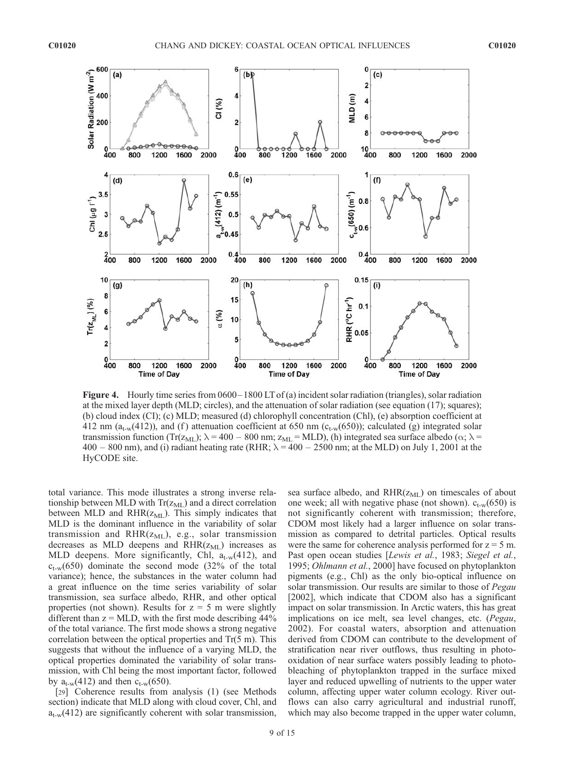

Figure 4. Hourly time series from 0600– 1800 LT of (a) incident solar radiation (triangles), solar radiation at the mixed layer depth (MLD; circles), and the attenuation of solar radiation (see equation (17); squares); (b) cloud index (CI); (c) MLD; measured (d) chlorophyll concentration (Chl), (e) absorption coefficient at 412 nm ( $a_{t-w}(412)$ ), and (f) attenuation coefficient at 650 nm ( $c_{t-w}(650)$ ); calculated (g) integrated solar transmission function (Tr( $z_{ML}$ );  $\lambda = 400 - 800$  nm;  $z_{ML} = MLD$ ), (h) integrated sea surface albedo ( $\alpha$ ;  $\lambda$  = 400 – 800 nm), and (i) radiant heating rate (RHR;  $\lambda = 400 - 2500$  nm; at the MLD) on July 1, 2001 at the HyCODE site.

total variance. This mode illustrates a strong inverse relationship between MLD with  $Tr(z_{ML})$  and a direct correlation between MLD and  $RHR(z_{ML})$ . This simply indicates that MLD is the dominant influence in the variability of solar transmission and  $RHR(z_{ML})$ , e.g., solar transmission decreases as MLD deepens and  $RHR(z_{ML})$  increases as MLD deepens. More significantly, Chl,  $a_{t-w}(412)$ , and  $c_{t-w}(650)$  dominate the second mode (32% of the total variance); hence, the substances in the water column had a great influence on the time series variability of solar transmission, sea surface albedo, RHR, and other optical properties (not shown). Results for  $z = 5$  m were slightly different than  $z = MLD$ , with the first mode describing  $44\%$ of the total variance. The first mode shows a strong negative correlation between the optical properties and Tr(5 m). This suggests that without the influence of a varying MLD, the optical properties dominated the variability of solar transmission, with Chl being the most important factor, followed by  $a_{t-w}(412)$  and then  $c_{t-w}(650)$ .

[29] Coherence results from analysis (1) (see Methods section) indicate that MLD along with cloud cover, Chl, and  $a_{t-w}(412)$  are significantly coherent with solar transmission,

sea surface albedo, and  $RHR(z_{ML})$  on timescales of about one week; all with negative phase (not shown).  $c_{t-w}(650)$  is not significantly coherent with transmission; therefore, CDOM most likely had a larger influence on solar transmission as compared to detrital particles. Optical results were the same for coherence analysis performed for  $z = 5$  m. Past open ocean studies [Lewis et al., 1983; Siegel et al., 1995; Ohlmann et al., 2000] have focused on phytoplankton pigments (e.g., Chl) as the only bio-optical influence on solar transmission. Our results are similar to those of *Pegau* [2002], which indicate that CDOM also has a significant impact on solar transmission. In Arctic waters, this has great implications on ice melt, sea level changes, etc. (Pegau, 2002). For coastal waters, absorption and attenuation derived from CDOM can contribute to the development of stratification near river outflows, thus resulting in photooxidation of near surface waters possibly leading to photobleaching of phytoplankton trapped in the surface mixed layer and reduced upwelling of nutrients to the upper water column, affecting upper water column ecology. River outflows can also carry agricultural and industrial runoff, which may also become trapped in the upper water column,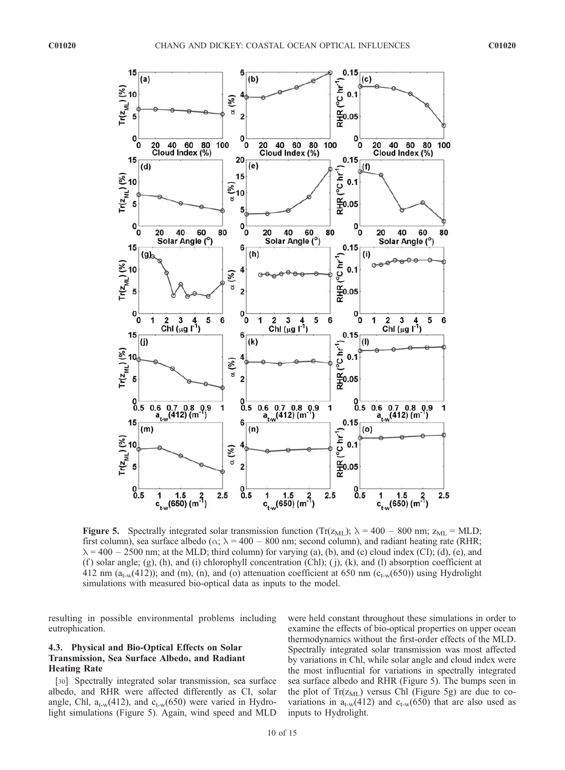

**Figure 5.** Spectrally integrated solar transmission function (Tr( $z_{ML}$ );  $\lambda = 400 - 800$  nm;  $z_{ML} = \text{MLD}$ ; first column), sea surface albedo ( $\alpha$ ;  $\lambda$  = 400 – 800 nm; second column), and radiant heating rate (RHR;  $\lambda = 400 - 2500$  nm; at the MLD; third column) for varying (a), (b), and (c) cloud index (CI); (d), (e), and  $(f)$  solar angle;  $(g)$ ,  $(h)$ , and  $(i)$  chlorophyll concentration  $(Ch)$ ;  $(j)$ ,  $(k)$ , and  $(l)$  absorption coefficient at 412 nm ( $a_{t-w}(412)$ ); and (m), (n), and (o) attenuation coefficient at 650 nm ( $c_{t-w}(650)$ ) using Hydrolight simulations with measured bio-optical data as inputs to the model.

resulting in possible environmental problems including eutrophication.

# 4.3. Physical and Bio-Optical Effects on Solar Transmission, Sea Surface Albedo, and Radiant Heating Rate

[30] Spectrally integrated solar transmission, sea surface albedo, and RHR were affected differently as CI, solar angle, Chl,  $a_{t-w}(412)$ , and  $c_{t-w}(650)$  were varied in Hydrolight simulations (Figure 5). Again, wind speed and MLD were held constant throughout these simulations in order to examine the effects of bio-optical properties on upper ocean thermodynamics without the first-order effects of the MLD. Spectrally integrated solar transmission was most affected by variations in Chl, while solar angle and cloud index were the most influential for variations in spectrally integrated sea surface albedo and RHR (Figure 5). The bumps seen in the plot of  $Tr(z_{ML})$  versus Chl (Figure 5g) are due to covariations in  $a_{t-w}(412)$  and  $c_{t-w}(650)$  that are also used as inputs to Hydrolight.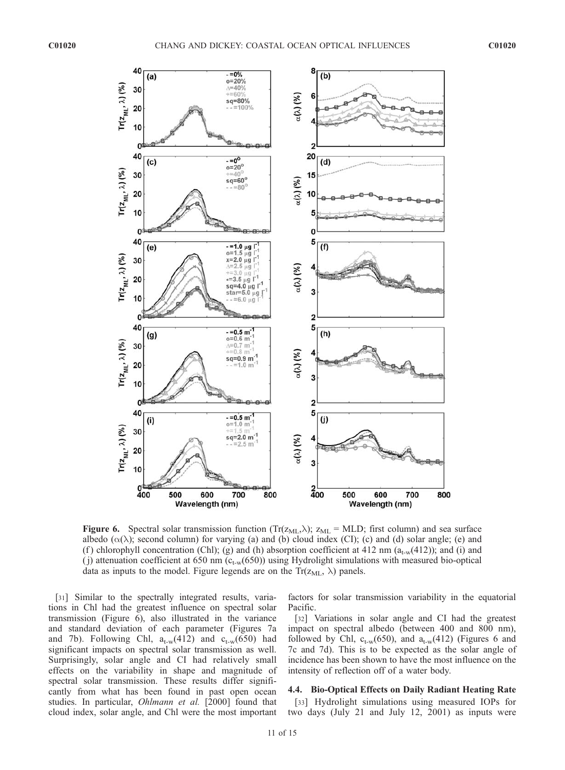

**Figure 6.** Spectral solar transmission function  $(Tr(z_{ML},\lambda); z_{ML} = MLD)$ ; first column) and sea surface albedo  $(\alpha(\lambda))$ ; second column) for varying (a) and (b) cloud index (CI); (c) and (d) solar angle; (e) and (f) chlorophyll concentration (Chl); (g) and (h) absorption coefficient at 412 nm ( $a_{t-w}(412)$ ); and (i) and (j) attenuation coefficient at 650 nm ( $c_{t-w}(650)$ ) using Hydrolight simulations with measured bio-optical data as inputs to the model. Figure legends are on the  $Tr(z_{ML}, \lambda)$  panels.

[31] Similar to the spectrally integrated results, variations in Chl had the greatest influence on spectral solar transmission (Figure 6), also illustrated in the variance and standard deviation of each parameter (Figures 7a and 7b). Following Chl,  $a_{t-w}(412)$  and  $c_{t-w}(650)$  had significant impacts on spectral solar transmission as well. Surprisingly, solar angle and CI had relatively small effects on the variability in shape and magnitude of spectral solar transmission. These results differ significantly from what has been found in past open ocean studies. In particular, Ohlmann et al. [2000] found that cloud index, solar angle, and Chl were the most important

factors for solar transmission variability in the equatorial Pacific.

[32] Variations in solar angle and CI had the greatest impact on spectral albedo (between 400 and 800 nm), followed by Chl,  $c_{t-w}(650)$ , and  $a_{t-w}(412)$  (Figures 6 and 7c and 7d). This is to be expected as the solar angle of incidence has been shown to have the most influence on the intensity of reflection off of a water body.

# 4.4. Bio-Optical Effects on Daily Radiant Heating Rate

[33] Hydrolight simulations using measured IOPs for two days (July 21 and July 12, 2001) as inputs were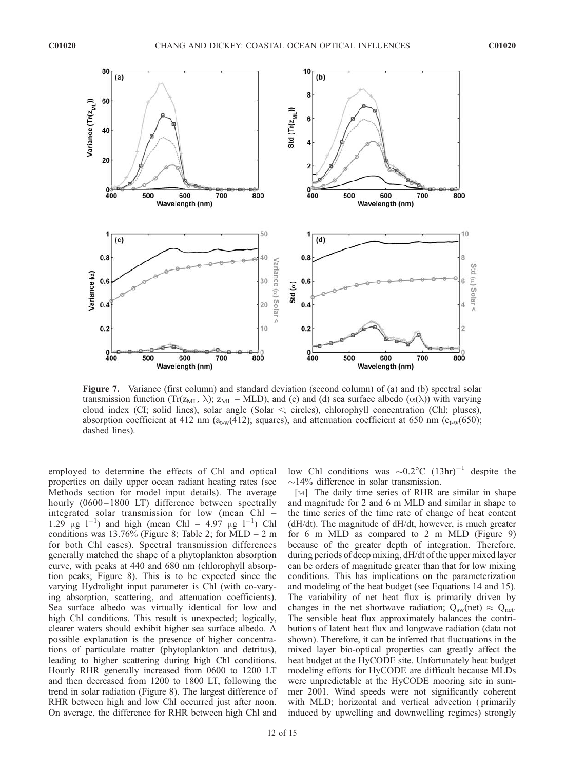

Figure 7. Variance (first column) and standard deviation (second column) of (a) and (b) spectral solar transmission function (Tr( $z_{ML}$ ,  $\lambda$ );  $z_{ML} = \text{MLD}$ ), and (c) and (d) sea surface albedo ( $\alpha(\lambda)$ ) with varying cloud index (CI; solid lines), solar angle (Solar <; circles), chlorophyll concentration (Chl; pluses), absorption coefficient at 412 nm ( $a_{t-w}(412)$ ); squares), and attenuation coefficient at 650 nm ( $c_{t-w}(650)$ ); dashed lines).

employed to determine the effects of Chl and optical properties on daily upper ocean radiant heating rates (see Methods section for model input details). The average hourly (0600-1800 LT) difference between spectrally integrated solar transmission for low (mean Chl =  $1.29 \mu g l^{-1}$  and high (mean Chl = 4.97  $\mu g l^{-1}$ ) Chl conditions was 13.76% (Figure 8; Table 2; for MLD = 2 m for both Chl cases). Spectral transmission differences generally matched the shape of a phytoplankton absorption curve, with peaks at 440 and 680 nm (chlorophyll absorption peaks; Figure 8). This is to be expected since the varying Hydrolight input parameter is Chl (with co-varying absorption, scattering, and attenuation coefficients). Sea surface albedo was virtually identical for low and high Chl conditions. This result is unexpected; logically, clearer waters should exhibit higher sea surface albedo. A possible explanation is the presence of higher concentrations of particulate matter (phytoplankton and detritus), leading to higher scattering during high Chl conditions. Hourly RHR generally increased from 0600 to 1200 LT and then decreased from 1200 to 1800 LT, following the trend in solar radiation (Figure 8). The largest difference of RHR between high and low Chl occurred just after noon. On average, the difference for RHR between high Chl and low Chl conditions was  $\sim 0.2$ °C  $(13 \text{ hr})^{-1}$  despite the  $\sim$ 14% difference in solar transmission.

[34] The daily time series of RHR are similar in shape and magnitude for 2 and 6 m MLD and similar in shape to the time series of the time rate of change of heat content (dH/dt). The magnitude of dH/dt, however, is much greater for 6 m MLD as compared to 2 m MLD (Figure 9) because of the greater depth of integration. Therefore, during periods of deep mixing, dH/dt of the upper mixed layer can be orders of magnitude greater than that for low mixing conditions. This has implications on the parameterization and modeling of the heat budget (see Equations 14 and 15). The variability of net heat flux is primarily driven by changes in the net shortwave radiation;  $Q_{sw}(net) \approx Q_{net}$ . The sensible heat flux approximately balances the contributions of latent heat flux and longwave radiation (data not shown). Therefore, it can be inferred that fluctuations in the mixed layer bio-optical properties can greatly affect the heat budget at the HyCODE site. Unfortunately heat budget modeling efforts for HyCODE are difficult because MLDs were unpredictable at the HyCODE mooring site in summer 2001. Wind speeds were not significantly coherent with MLD; horizontal and vertical advection ( primarily induced by upwelling and downwelling regimes) strongly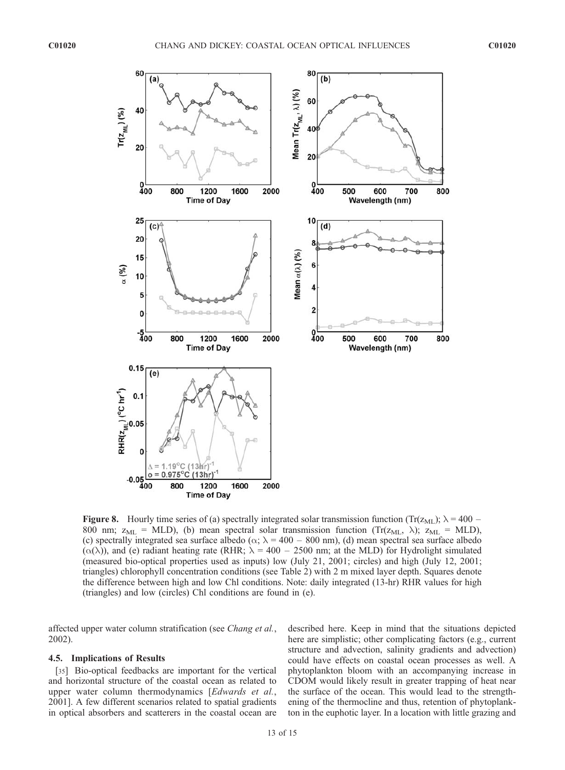

**Figure 8.** Hourly time series of (a) spectrally integrated solar transmission function (Tr( $z_{ML}$ );  $\lambda = 400 -$ 800 nm;  $z_{ML} = \text{MLD}$ , (b) mean spectral solar transmission function (Tr( $z_{ML}$ ,  $\lambda$ );  $z_{ML} = \text{MLD}$ ), (c) spectrally integrated sea surface albedo ( $\alpha$ ;  $\lambda$  = 400 – 800 nm), (d) mean spectral sea surface albedo  $(\alpha(\lambda))$ , and (e) radiant heating rate (RHR;  $\lambda = 400 - 2500$  nm; at the MLD) for Hydrolight simulated (measured bio-optical properties used as inputs) low (July 21, 2001; circles) and high (July 12, 2001; triangles) chlorophyll concentration conditions (see Table 2) with 2 m mixed layer depth. Squares denote the difference between high and low Chl conditions. Note: daily integrated (13-hr) RHR values for high (triangles) and low (circles) Chl conditions are found in (e).

affected upper water column stratification (see *Chang et al.*, 2002).

#### 4.5. Implications of Results

[35] Bio-optical feedbacks are important for the vertical and horizontal structure of the coastal ocean as related to upper water column thermodynamics [Edwards et al., 2001]. A few different scenarios related to spatial gradients in optical absorbers and scatterers in the coastal ocean are

described here. Keep in mind that the situations depicted here are simplistic; other complicating factors (e.g., current structure and advection, salinity gradients and advection) could have effects on coastal ocean processes as well. A phytoplankton bloom with an accompanying increase in CDOM would likely result in greater trapping of heat near the surface of the ocean. This would lead to the strengthening of the thermocline and thus, retention of phytoplankton in the euphotic layer. In a location with little grazing and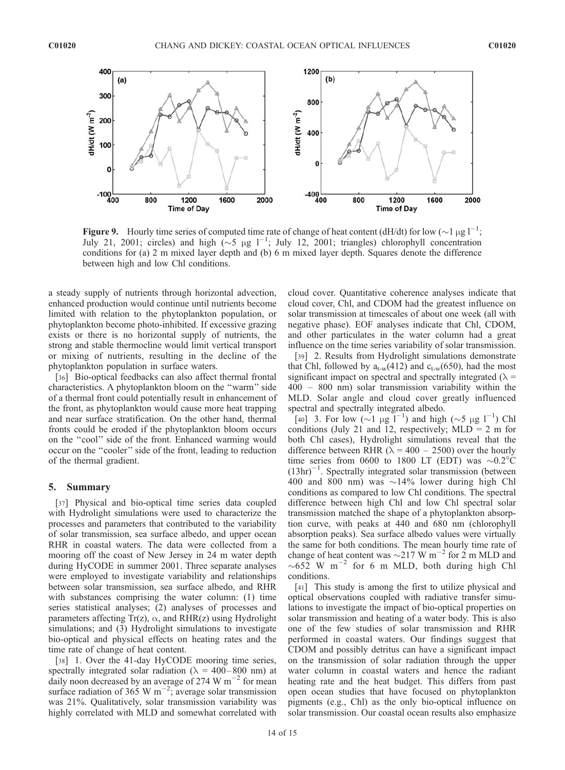

**Figure 9.** Hourly time series of computed time rate of change of heat content (dH/dt) for low ( $\sim$ 1 µg l<sup>-1</sup>; July 21, 2001; circles) and high  $(\sim 5 \text{ µg } 1^{-1}$ ; July 12, 2001; triangles) chlorophyll concentration conditions for (a) 2 m mixed layer depth and (b) 6 m mixed layer depth. Squares denote the difference between high and low Chl conditions.

a steady supply of nutrients through horizontal advection, enhanced production would continue until nutrients become limited with relation to the phytoplankton population, or phytoplankton become photo-inhibited. If excessive grazing exists or there is no horizontal supply of nutrients, the strong and stable thermocline would limit vertical transport or mixing of nutrients, resulting in the decline of the phytoplankton population in surface waters.

[36] Bio-optical feedbacks can also affect thermal frontal characteristics. A phytoplankton bloom on the ''warm'' side of a thermal front could potentially result in enhancement of the front, as phytoplankton would cause more heat trapping and near surface stratification. On the other hand, thermal fronts could be eroded if the phytoplankton bloom occurs on the ''cool'' side of the front. Enhanced warming would occur on the ''cooler'' side of the front, leading to reduction of the thermal gradient.

## 5. Summary

[37] Physical and bio-optical time series data coupled with Hydrolight simulations were used to characterize the processes and parameters that contributed to the variability of solar transmission, sea surface albedo, and upper ocean RHR in coastal waters. The data were collected from a mooring off the coast of New Jersey in 24 m water depth during HyCODE in summer 2001. Three separate analyses were employed to investigate variability and relationships between solar transmission, sea surface albedo, and RHR with substances comprising the water column: (1) time series statistical analyses; (2) analyses of processes and parameters affecting  $Tr(z)$ ,  $\alpha$ , and RHR(z) using Hydrolight simulations; and (3) Hydrolight simulations to investigate bio-optical and physical effects on heating rates and the time rate of change of heat content.

[38] 1. Over the 41-day HyCODE mooring time series, spectrally integrated solar radiation ( $\lambda = 400-800$  nm) at daily noon decreased by an average of 274 W  $\text{m}^{-2}$  for mean surface radiation of 365 W m<sup>-2</sup>; average solar transmission was 21%. Qualitatively, solar transmission variability was highly correlated with MLD and somewhat correlated with cloud cover. Quantitative coherence analyses indicate that cloud cover, Chl, and CDOM had the greatest influence on solar transmission at timescales of about one week (all with negative phase). EOF analyses indicate that Chl, CDOM, and other particulates in the water column had a great influence on the time series variability of solar transmission.

[39] 2. Results from Hydrolight simulations demonstrate that Chl, followed by  $a_{t-w}(412)$  and  $c_{t-w}(650)$ , had the most significant impact on spectral and spectrally integrated  $(\lambda =$ 400 – 800 nm) solar transmission variability within the MLD. Solar angle and cloud cover greatly influenced spectral and spectrally integrated albedo.

[40] 3. For low  $(\sim]1 \mu g \check{1}^{-1}$  and high  $(\sim]5 \mu g \check{1}^{-1}$  Chl conditions (July 21 and 12, respectively;  $MLD = 2$  m for both Chl cases), Hydrolight simulations reveal that the difference between RHR ( $\lambda = 400 - 2500$ ) over the hourly time series from 0600 to 1800 LT (EDT) was  $\sim 0.2$ °C  $(13hr)^{-1}$ . Spectrally integrated solar transmission (between 400 and 800 nm) was  $\sim$ 14% lower during high Chl conditions as compared to low Chl conditions. The spectral difference between high Chl and low Chl spectral solar transmission matched the shape of a phytoplankton absorption curve, with peaks at 440 and 680 nm (chlorophyll absorption peaks). Sea surface albedo values were virtually the same for both conditions. The mean hourly time rate of change of heat content was  $\sim$ 217 W m<sup>-2</sup> for 2 m MLD and  $\sim 652$  W m<sup>-2</sup> for 6 m MLD, both during high Chl conditions.

[41] This study is among the first to utilize physical and optical observations coupled with radiative transfer simulations to investigate the impact of bio-optical properties on solar transmission and heating of a water body. This is also one of the few studies of solar transmission and RHR performed in coastal waters. Our findings suggest that CDOM and possibly detritus can have a significant impact on the transmission of solar radiation through the upper water column in coastal waters and hence the radiant heating rate and the heat budget. This differs from past open ocean studies that have focused on phytoplankton pigments (e.g., Chl) as the only bio-optical influence on solar transmission. Our coastal ocean results also emphasize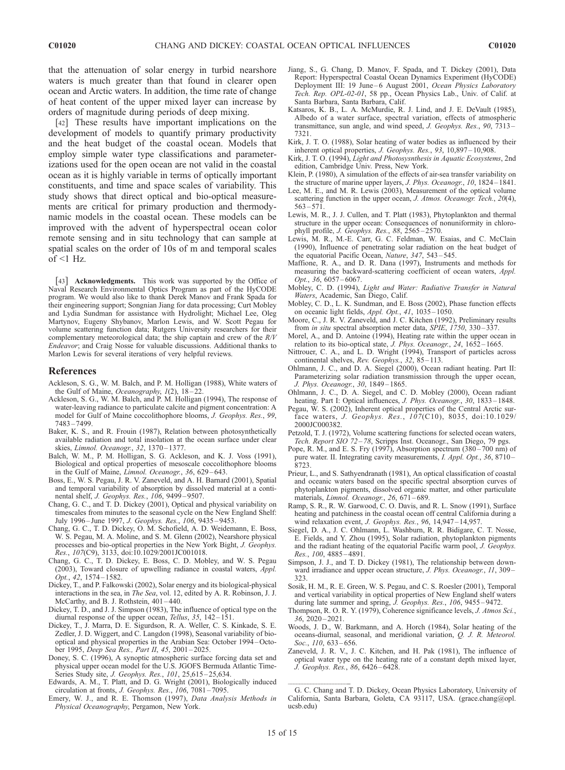that the attenuation of solar energy in turbid nearshore waters is much greater than that found in clearer open ocean and Arctic waters. In addition, the time rate of change of heat content of the upper mixed layer can increase by orders of magnitude during periods of deep mixing.

[42] These results have important implications on the development of models to quantify primary productivity and the heat budget of the coastal ocean. Models that employ simple water type classifications and parameterizations used for the open ocean are not valid in the coastal ocean as it is highly variable in terms of optically important constituents, and time and space scales of variability. This study shows that direct optical and bio-optical measurements are critical for primary production and thermodynamic models in the coastal ocean. These models can be improved with the advent of hyperspectral ocean color remote sensing and in situ technology that can sample at spatial scales on the order of 10s of m and temporal scales  $of <1$  Hz.

[43] Acknowledgments. This work was supported by the Office of Naval Research Environmental Optics Program as part of the HyCODE program. We would also like to thank Derek Manov and Frank Spada for their engineering support; Songnian Jiang for data processing; Curt Mobley and Lydia Sundman for assistance with Hydrolight; Michael Lee, Oleg Martynov, Eugeny Shybanov, Marlon Lewis, and W. Scott Pegau for volume scattering function data; Rutgers University researchers for their complementary meteorological data; the ship captain and crew of the  $R/V$ Endeavor; and Craig Nosse for valuable discussions. Additional thanks to Marlon Lewis for several iterations of very helpful reviews.

#### References

- Ackleson, S. G., W. M. Balch, and P. M. Holligan (1988), White waters of the Gulf of Maine, Oceanography, 1(2), 18-22.
- Ackleson, S. G., W. M. Balch, and P. M. Holligan (1994), The response of water-leaving radiance to particulate calcite and pigment concentration: A model for Gulf of Maine coccolithophore blooms, J. Geophys. Res., 99, 7483 – 7499.
- Baker, K. S., and R. Frouin (1987), Relation between photosynthetically available radiation and total insolation at the ocean surface under clear skies, Limnol. Oceanogr., 32, 1370-1377.
- Balch, W. M., P. M. Holligan, S. G. Ackleson, and K. J. Voss (1991), Biological and optical properties of mesoscale coccolithophore blooms in the Gulf of Maine, Limnol. Oceanogr., 36, 629-643.
- Boss, E., W. S. Pegau, J. R. V. Zaneveld, and A. H. Barnard (2001), Spatial and temporal variability of absorption by dissolved material at a continental shelf, J. Geophys. Res., 106, 9499 – 9507.
- Chang, G. C., and T. D. Dickey (2001), Optical and physical variability on timescales from minutes to the seasonal cycle on the New England Shelf: July 1996 – June 1997, J. Geophys. Res., 106, 9435 – 9453.
- Chang, G. C., T. D. Dickey, O. M. Schofield, A. D. Weidemann, E. Boss, W. S. Pegau, M. A. Moline, and S. M. Glenn (2002), Nearshore physical processes and bio-optical properties in the New York Bight, J. Geophys. Res., 107(C9), 3133, doi:10.1029/2001JC001018.
- Chang, G. C., T. D. Dickey, E. Boss, C. D. Mobley, and W. S. Pegau (2003), Toward closure of upwelling radiance in coastal waters, Appl. Opt., 42, 1574-1582.
- Dickey, T., and P. Falkowski (2002), Solar energy and its biological-physical interactions in the sea, in The Sea, vol. 12, edited by A. R. Robinson, J. J. McCarthy, and B. J. Rothstein, 401 – 440.
- Dickey, T. D., and J. J. Simpson (1983), The influence of optical type on the diurnal response of the upper ocean, Tellus, 35, 142-151.
- Dickey, T., J. Marra, D. E. Sigurdson, R. A. Weller, C. S. Kinkade, S. E. Zedler, J. D. Wiggert, and C. Langdon (1998), Seasonal variability of biooptical and physical properties in the Arabian Sea: October 1994 –October 1995, Deep Sea Res., Part II, 45, 2001 – 2025.
- Doney, S. C. (1996), A synoptic atmospheric surface forcing data set and physical upper ocean model for the U.S. JGOFS Bermuda Atlantic Time-Series Study site, J. Geophys. Res., 101, 25,615-25,634.
- Edwards, A. M., T. Platt, and D. G. Wright (2001), Biologically induced circulation at fronts, J. Geophys. Res., 106, 7081-7095.
- Emery, W. J., and R. E. Thomson (1997), Data Analysis Methods in Physical Oceanography, Pergamon, New York.
- Jiang, S., G. Chang, D. Manov, F. Spada, and T. Dickey (2001), Data Report: Hyperspectral Coastal Ocean Dynamics Experiment (HyCODE) Deployment III: 19 June-6 August 2001, Ocean Physics Laboratory Tech. Rep. OPL-02-01, 58 pp., Ocean Physics Lab., Univ. of Calif. at Santa Barbara, Santa Barbara, Calif.
- Katsaros, K. B., L. A. McMurdie, R. J. Lind, and J. E. DeVault (1985), Albedo of a water surface, spectral variation, effects of atmospheric transmittance, sun angle, and wind speed, J. Geophys. Res., 90, 7313 – 7321.
- Kirk, J. T. O. (1988), Solar heating of water bodies as influenced by their inherent optical properties, J. Geophys. Res., 93, 10,897-10,908.
- Kirk, J. T. O. (1994), Light and Photosysnthesis in Aquatic Ecosystems, 2nd edition, Cambridge Univ. Press, New York.
- Klein, P. (1980), A simulation of the effects of air-sea transfer variability on the structure of marine upper layers, J. Phys. Oceanogr., 10, 1824-1841.
- Lee, M. E., and M. R. Lewis (2003), Measurement of the optical volume scattering function in the upper ocean, J. Atmos. Oceanogr. Tech., 20(4),  $563 - 571$ .
- Lewis, M. R., J. J. Cullen, and T. Platt (1983), Phytoplankton and thermal structure in the upper ocean: Consequences of nonuniformity in chlorophyll profile, J. Geophys. Res.,  $88$ ,  $2565 - 2570$ .
- Lewis, M. R., M.-E. Carr, G. C. Feldman, W. Esaias, and C. McClain (1990), Influence of penetrating solar radiation on the heat budget of the equatorial Pacific Ocean, Nature, 347, 543 – 545.
- Maffione, R. A., and D. R. Dana (1997), Instruments and methods for measuring the backward-scattering coefficient of ocean waters, Appl. Opt., 36, 6057-6067.
- Mobley, C. D. (1994), Light and Water: Radiative Transfer in Natural Waters, Academic, San Diego, Calif.
- Mobley, C. D., L. K. Sundman, and E. Boss (2002), Phase function effects on oceanic light fields, Appl. Opt., 41, 1035-1050.
- Moore, C., J. R. V. Zaneveld, and J. C. Kitchen (1992), Preliminary results from in situ spectral absorption meter data, SPIE, 1750, 330-337.
- Morel, A., and D. Antoine (1994), Heating rate within the upper ocean in relation to its bio-optical state, J. Phys. Oceanogr., 24,  $16\overline{52} - 1665$ .
- Nittrouer, C. A., and L. D. Wright (1994), Transport of particles across continental shelves, Rev. Geophys., 32, 85-113.
- Ohlmann, J. C., and D. A. Siegel (2000), Ocean radiant heating. Part II: Parameterizing solar radiation transmission through the upper ocean, J. Phys. Oceanogr., 30, 1849 – 1865.
- Ohlmann, J. C., D. A. Siegel, and C. D. Mobley (2000), Ocean radiant heating. Part I: Optical influences, *J. Phys. Oceanogr.*, 30, 1833–1848.
- Pegau, W. S. (2002), Inherent optical properties of the Central Arctic surface waters, J. Geophys. Res., 107(C10), 8035, doi:10.1029/ 2000JC000382.
- Petzold, T. J. (1972), Volume scattering functions for selected ocean waters, Tech. Report SIO 72-78, Scripps Inst. Oceanogr., San Diego, 79 pgs.
- Pope, R. M., and E. S. Fry  $(1997)$ , Absorption spectrum  $(380 700 \text{ nm})$  of pure water. II. Integrating cavity measurements, I. Appl. Opt., 36, 8710 – 8723.
- Prieur, L., and S. Sathyendranath (1981), An optical classification of coastal and oceanic waters based on the specific spectral absorption curves of phytoplankton pigments, dissolved organic matter, and other particulate materials, Limnol. Oceanogr., 26, 671-689.
- Ramp, S. R., R. W. Garwood, C. O. Davis, and R. L. Snow (1991), Surface heating and patchiness in the coastal ocean off central California during a wind relaxation event, J. Geophys. Res., 96, 14,947-14,957.
- Siegel, D. A., J. C. Ohlmann, L. Washburn, R. R. Bidigare, C. T. Nosse, E. Fields, and Y. Zhou (1995), Solar radiation, phytoplankton pigments and the radiant heating of the equatorial Pacific warm pool, J. Geophys. Res., 100, 4885 – 4891.
- Simpson, J. J., and T. D. Dickey (1981), The relationship between downward irradiance and upper ocean structure, J. Phys. Oceanogr., 11, 309– 323.
- Sosik, H. M., R. E. Green, W. S. Pegau, and C. S. Roesler (2001), Temporal and vertical variability in optical properties of New England shelf waters during late summer and spring, *J. Geophys. Res.*, 106, 9455-9472.
- Thompson, R. O. R. Y. (1979), Coherence significance levels, J. Atmos Sci.,  $36, 2020 - 2021.$
- Woods, J. D., W. Barkmann, and A. Horch (1984), Solar heating of the oceans-diurnal, seasonal, and meridional variation, Q. J. R. Meteorol. Soc., 110, 633-656.
- Zaneveld, J. R. V., J. C. Kitchen, and H. Pak (1981), The influence of optical water type on the heating rate of a constant depth mixed layer, J. Geophys. Res., 86, 6426 – 6428.

G. C. Chang and T. D. Dickey, Ocean Physics Laboratory, University of California, Santa Barbara, Goleta, CA 93117, USA. (grace.chang@opl. ucsb.edu)